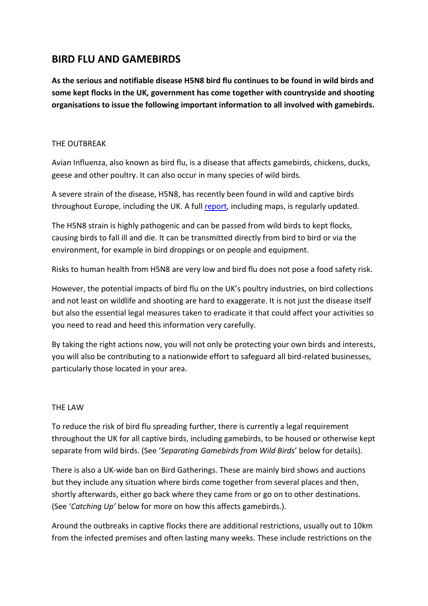# **BIRD FLU AND GAMEBIRDS**

**As the serious and notifiable disease H5N8 bird flu continues to be found in wild birds and some kept flocks in the UK, government has come together with countryside and shooting organisations to issue the following important information to all involved with gamebirds.**

### THE OUTBREAK

Avian Influenza, also known as bird flu, is a disease that affects gamebirds, chickens, ducks, geese and other poultry. It can also occur in many species of wild birds.

A severe strain of the disease, H5N8, has recently been found in wild and captive birds throughout Europe, including the UK. A ful[l report,](https://www.gov.uk/government/publications/avian-influenza-bird-flu-in-europe) including maps, is regularly updated.

The H5N8 strain is highly pathogenic and can be passed from wild birds to kept flocks, causing birds to fall ill and die. It can be transmitted directly from bird to bird or via the environment, for example in bird droppings or on people and equipment.

Risks to human health from H5N8 are very low and bird flu does not pose a food safety risk.

However, the potential impacts of bird flu on the UK's poultry industries, on bird collections and not least on wildlife and shooting are hard to exaggerate. It is not just the disease itself but also the essential legal measures taken to eradicate it that could affect your activities so you need to read and heed this information very carefully.

By taking the right actions now, you will not only be protecting your own birds and interests, you will also be contributing to a nationwide effort to safeguard all bird-related businesses, particularly those located in your area.

#### THE LAW

To reduce the risk of bird flu spreading further, there is currently a legal requirement throughout the UK for all captive birds, including gamebirds, to be housed or otherwise kept separate from wild birds. (See '*Separating Gamebirds from Wild Birds*' below for details).

There is also a UK-wide ban on Bird Gatherings. These are mainly bird shows and auctions but they include any situation where birds come together from several places and then, shortly afterwards, either go back where they came from or go on to other destinations. (See '*Catching Up'* below for more on how this affects gamebirds.).

Around the outbreaks in captive flocks there are additional restrictions, usually out to 10km from the infected premises and often lasting many weeks. These include restrictions on the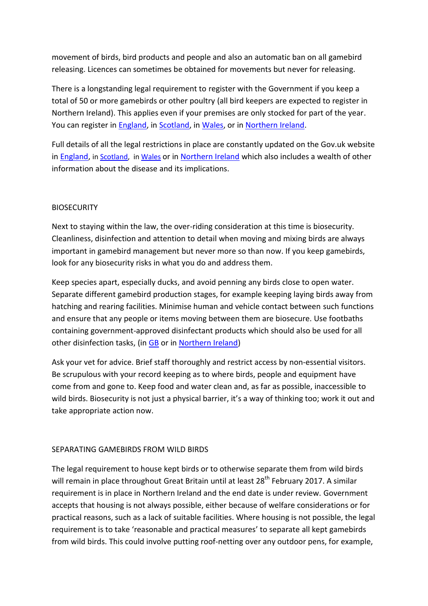movement of birds, bird products and people and also an automatic ban on all gamebird releasing. Licences can sometimes be obtained for movements but never for releasing.

There is a longstanding legal requirement to register with the Government if you keep a total of 50 or more gamebirds or other poultry (all bird keepers are expected to register in Northern Ireland). This applies even if your premises are only stocked for part of the year. You can register in [England,](http://www.gov.uk/guidance/poultry-registration) in [Scotland,](http://www.gov.uk/poultry-registration-scotland) in [Wales,](http://gov.wales/topics/environmentcountryside/ahw/poultry/gbpoultryregister/?lang=en) or in [Northern Ireland.](http://www.daera-ni.gov.uk/publications/bird-registration-form)

Full details of all the legal restrictions in place are constantly updated on the Gov.uk website in [England,](http://www.gov.uk/guidance/avian-influenza-bird-flu) in [Scotland,](http://www.gov.scot/avianinfluenza) i[n Wales](http://gov.wales/topics/environmentcountryside/ahw/disease/avianflu/?lang=en) or in [Northern Ireland](http://www.daera-ni.gov.uk/articles/avian-influenza-ai) which also includes a wealth of other information about the disease and its implications.

# **BIOSECURITY**

Next to staying within the law, the over-riding consideration at this time is biosecurity. Cleanliness, disinfection and attention to detail when moving and mixing birds are always important in gamebird management but never more so than now. If you keep gamebirds, look for any biosecurity risks in what you do and address them.

Keep species apart, especially ducks, and avoid penning any birds close to open water. Separate different gamebird production stages, for example keeping laying birds away from hatching and rearing facilities. Minimise human and vehicle contact between such functions and ensure that any people or items moving between them are biosecure. Use footbaths containing government-approved disinfectant products which should also be used for all other disinfection tasks, (in [GB](http://www.gov.uk/guidance/defra-approved-disinfectant-when-and-how-to-use-it) or i[n Northern Ireland\)](http://www.daera-ni.gov.uk/publications/approved-disinfectants)

Ask your vet for advice. Brief staff thoroughly and restrict access by non-essential visitors. Be scrupulous with your record keeping as to where birds, people and equipment have come from and gone to. Keep food and water clean and, as far as possible, inaccessible to wild birds. Biosecurity is not just a physical barrier, it's a way of thinking too; work it out and take appropriate action now.

#### SEPARATING GAMEBIRDS FROM WILD BIRDS

The legal requirement to house kept birds or to otherwise separate them from wild birds will remain in place throughout Great Britain until at least 28<sup>th</sup> Februarv 2017. A similar requirement is in place in Northern Ireland and the end date is under review. Government accepts that housing is not always possible, either because of welfare considerations or for practical reasons, such as a lack of suitable facilities. Where housing is not possible, the legal requirement is to take 'reasonable and practical measures' to separate all kept gamebirds from wild birds. This could involve putting roof-netting over any outdoor pens, for example,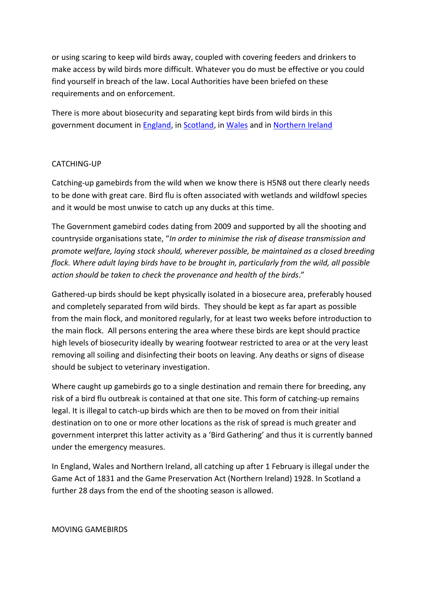or using scaring to keep wild birds away, coupled with covering feeders and drinkers to make access by wild birds more difficult. Whatever you do must be effective or you could find yourself in breach of the law. Local Authorities have been briefed on these requirements and on enforcement.

There is more about biosecurity and separating kept birds from wild birds in this government document in [England,](https://www.gov.uk/guidance/avian-influenza-bird-flu) in [Scotland,](http://www.gov.scot/Topics/farmingrural/Agriculture/animal-welfare/Diseases/disease/avian) i[n Wales](http://gov.wales/topics/environmentcountryside/ahw/disease/avianflu/?lang=en) and in [Northern Ireland](http://www.daera-ni.gov.uk/publications/preparing-ai-separating-domestic-birds-wild-birds)

#### CATCHING-UP

Catching-up gamebirds from the wild when we know there is H5N8 out there clearly needs to be done with great care. Bird flu is often associated with wetlands and wildfowl species and it would be most unwise to catch up any ducks at this time.

The Government gamebird codes dating from 2009 and supported by all the shooting and countryside organisations state, "*In order to minimise the risk of disease transmission and promote welfare, laying stock should, wherever possible, be maintained as a closed breeding flock. Where adult laying birds have to be brought in, particularly from the wild, all possible action should be taken to check the provenance and health of the birds*."

Gathered-up birds should be kept physically isolated in a biosecure area, preferably housed and completely separated from wild birds. They should be kept as far apart as possible from the main flock, and monitored regularly, for at least two weeks before introduction to the main flock. All persons entering the area where these birds are kept should practice high levels of biosecurity ideally by wearing footwear restricted to area or at the very least removing all soiling and disinfecting their boots on leaving. Any deaths or signs of disease should be subject to veterinary investigation.

Where caught up gamebirds go to a single destination and remain there for breeding, any risk of a bird flu outbreak is contained at that one site. This form of catching-up remains legal. It is illegal to catch-up birds which are then to be moved on from their initial destination on to one or more other locations as the risk of spread is much greater and government interpret this latter activity as a 'Bird Gathering' and thus it is currently banned under the emergency measures.

In England, Wales and Northern Ireland, all catching up after 1 February is illegal under the Game Act of 1831 and the Game Preservation Act (Northern Ireland) 1928. In Scotland a further 28 days from the end of the shooting season is allowed.

MOVING GAMEBIRDS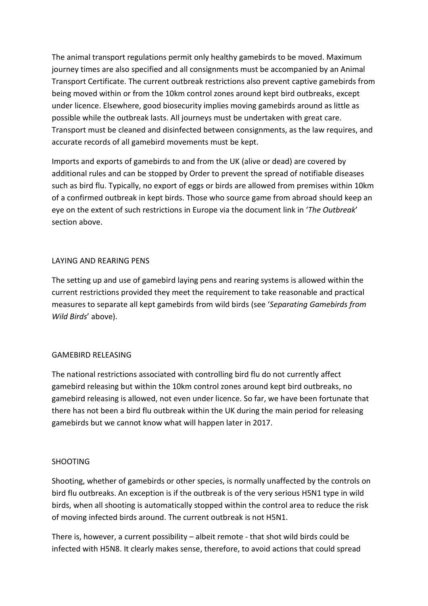The animal transport regulations permit only healthy gamebirds to be moved. Maximum journey times are also specified and all consignments must be accompanied by an Animal Transport Certificate. The current outbreak restrictions also prevent captive gamebirds from being moved within or from the 10km control zones around kept bird outbreaks, except under licence. Elsewhere, good biosecurity implies moving gamebirds around as little as possible while the outbreak lasts. All journeys must be undertaken with great care. Transport must be cleaned and disinfected between consignments, as the law requires, and accurate records of all gamebird movements must be kept.

Imports and exports of gamebirds to and from the UK (alive or dead) are covered by additional rules and can be stopped by Order to prevent the spread of notifiable diseases such as bird flu. Typically, no export of eggs or birds are allowed from premises within 10km of a confirmed outbreak in kept birds. Those who source game from abroad should keep an eye on the extent of such restrictions in Europe via the document link in '*The Outbreak*' section above.

# LAYING AND REARING PENS

The setting up and use of gamebird laying pens and rearing systems is allowed within the current restrictions provided they meet the requirement to take reasonable and practical measures to separate all kept gamebirds from wild birds (see '*Separating Gamebirds from Wild Birds*' above).

# GAMEBIRD RELEASING

The national restrictions associated with controlling bird flu do not currently affect gamebird releasing but within the 10km control zones around kept bird outbreaks, no gamebird releasing is allowed, not even under licence. So far, we have been fortunate that there has not been a bird flu outbreak within the UK during the main period for releasing gamebirds but we cannot know what will happen later in 2017.

# SHOOTING

Shooting, whether of gamebirds or other species, is normally unaffected by the controls on bird flu outbreaks. An exception is if the outbreak is of the very serious H5N1 type in wild birds, when all shooting is automatically stopped within the control area to reduce the risk of moving infected birds around. The current outbreak is not H5N1.

There is, however, a current possibility – albeit remote - that shot wild birds could be infected with H5N8. It clearly makes sense, therefore, to avoid actions that could spread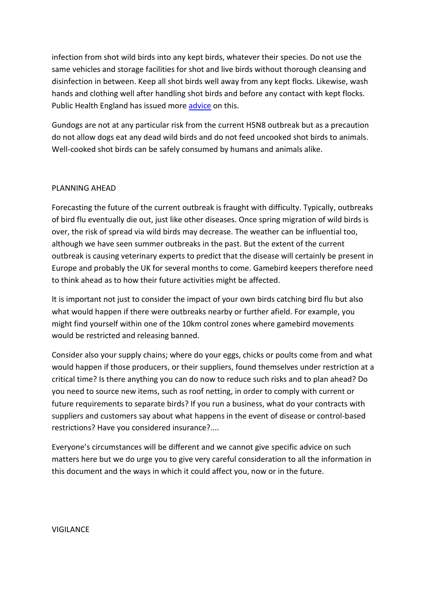infection from shot wild birds into any kept birds, whatever their species. Do not use the same vehicles and storage facilities for shot and live birds without thorough cleansing and disinfection in between. Keep all shot birds well away from any kept flocks. Likewise, wash hands and clothing well after handling shot birds and before any contact with kept flocks. Public Health England has issued more [advice](https://www.gov.uk/government/collections/avian-influenza-guidance-data-and-analysis) on this.

Gundogs are not at any particular risk from the current H5N8 outbreak but as a precaution do not allow dogs eat any dead wild birds and do not feed uncooked shot birds to animals. Well-cooked shot birds can be safely consumed by humans and animals alike.

#### PLANNING AHEAD

Forecasting the future of the current outbreak is fraught with difficulty. Typically, outbreaks of bird flu eventually die out, just like other diseases. Once spring migration of wild birds is over, the risk of spread via wild birds may decrease. The weather can be influential too, although we have seen summer outbreaks in the past. But the extent of the current outbreak is causing veterinary experts to predict that the disease will certainly be present in Europe and probably the UK for several months to come. Gamebird keepers therefore need to think ahead as to how their future activities might be affected.

It is important not just to consider the impact of your own birds catching bird flu but also what would happen if there were outbreaks nearby or further afield. For example, you might find yourself within one of the 10km control zones where gamebird movements would be restricted and releasing banned.

Consider also your supply chains; where do your eggs, chicks or poults come from and what would happen if those producers, or their suppliers, found themselves under restriction at a critical time? Is there anything you can do now to reduce such risks and to plan ahead? Do you need to source new items, such as roof netting, in order to comply with current or future requirements to separate birds? If you run a business, what do your contracts with suppliers and customers say about what happens in the event of disease or control-based restrictions? Have you considered insurance?....

Everyone's circumstances will be different and we cannot give specific advice on such matters here but we do urge you to give very careful consideration to all the information in this document and the ways in which it could affect you, now or in the future.

#### VIGILANCE